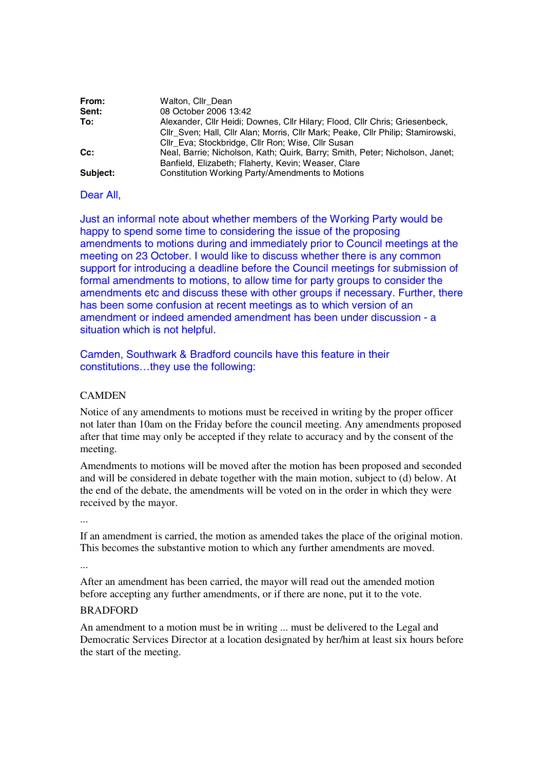| From:    | Walton, Cllr Dean                                                               |
|----------|---------------------------------------------------------------------------------|
| Sent:    | 08 October 2006 13:42                                                           |
| To:      | Alexander, Cllr Heidi; Downes, Cllr Hilary; Flood, Cllr Chris; Griesenbeck,     |
|          | CIIr Sven; Hall, CIIr Alan; Morris, CIIr Mark; Peake, CIIr Philip; Stamirowski, |
|          | Cllr Eva; Stockbridge, Cllr Ron; Wise, Cllr Susan                               |
| Cc:      | Neal, Barrie; Nicholson, Kath; Quirk, Barry; Smith, Peter; Nicholson, Janet;    |
|          | Banfield, Elizabeth; Flaherty, Kevin; Weaser, Clare                             |
| Subject: | Constitution Working Party/Amendments to Motions                                |

Dear All,

Just an informal note about whether members of the Working Party would be happy to spend some time to considering the issue of the proposing amendments to motions during and immediately prior to Council meetings at the meeting on 23 October. I would like to discuss whether there is any common support for introducing a deadline before the Council meetings for submission of formal amendments to motions, to allow time for party groups to consider the amendments etc and discuss these with other groups if necessary. Further, there has been some confusion at recent meetings as to which version of an amendment or indeed amended amendment has been under discussion - a situation which is not helpful.

Camden, Southwark & Bradford councils have this feature in their constitutions…they use the following:

## **CAMDEN**

Notice of any amendments to motions must be received in writing by the proper officer not later than 10am on the Friday before the council meeting. Any amendments proposed after that time may only be accepted if they relate to accuracy and by the consent of the meeting.

Amendments to motions will be moved after the motion has been proposed and seconded and will be considered in debate together with the main motion, subject to (d) below. At the end of the debate, the amendments will be voted on in the order in which they were received by the mayor.

...

If an amendment is carried, the motion as amended takes the place of the original motion. This becomes the substantive motion to which any further amendments are moved.

...

After an amendment has been carried, the mayor will read out the amended motion before accepting any further amendments, or if there are none, put it to the vote.

## BRADFORD

An amendment to a motion must be in writing ... must be delivered to the Legal and Democratic Services Director at a location designated by her/him at least six hours before the start of the meeting.